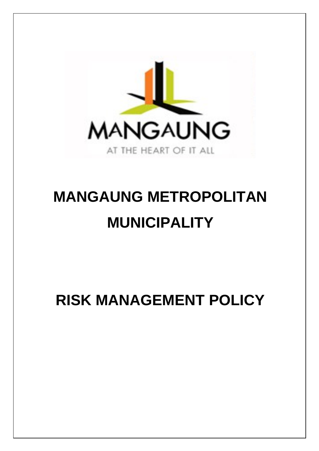

# **MANGAUNG METROPOLITAN MUNICIPALITY**

**RISK MANAGEMENT POLICY**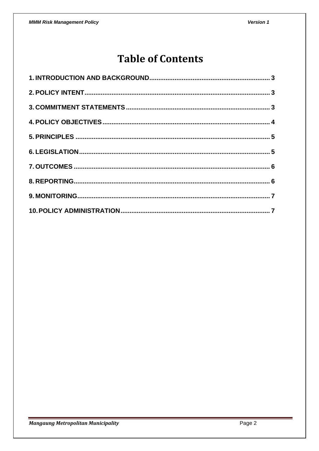# **Table of Contents**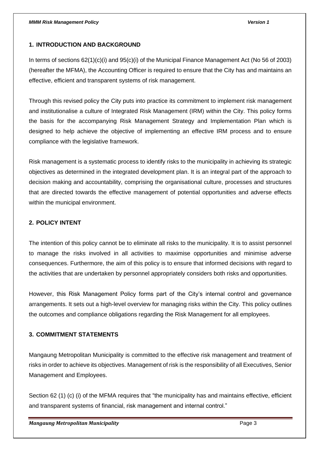# <span id="page-2-0"></span>**1. INTRODUCTION AND BACKGROUND**

In terms of sections 62(1)(c)(i) and 95(c)(i) of the Municipal Finance Management Act (No 56 of 2003) (hereafter the MFMA), the Accounting Officer is required to ensure that the City has and maintains an effective, efficient and transparent systems of risk management.

Through this revised policy the City puts into practice its commitment to implement risk management and institutionalise a culture of Integrated Risk Management (IRM) within the City. This policy forms the basis for the accompanying Risk Management Strategy and Implementation Plan which is designed to help achieve the objective of implementing an effective IRM process and to ensure compliance with the legislative framework.

Risk management is a systematic process to identify risks to the municipality in achieving its strategic objectives as determined in the integrated development plan. It is an integral part of the approach to decision making and accountability, comprising the organisational culture, processes and structures that are directed towards the effective management of potential opportunities and adverse effects within the municipal environment.

# <span id="page-2-1"></span>**2. POLICY INTENT**

The intention of this policy cannot be to eliminate all risks to the municipality. It is to assist personnel to manage the risks involved in all activities to maximise opportunities and minimise adverse consequences. Furthermore, the aim of this policy is to ensure that informed decisions with regard to the activities that are undertaken by personnel appropriately considers both risks and opportunities.

However, this Risk Management Policy forms part of the City's internal control and governance arrangements. It sets out a high-level overview for managing risks within the City. This policy outlines the outcomes and compliance obligations regarding the Risk Management for all employees.

# <span id="page-2-2"></span>**3. COMMITMENT STATEMENTS**

Mangaung Metropolitan Municipality is committed to the effective risk management and treatment of risks in order to achieve its objectives. Management of risk is the responsibility of all Executives, Senior Management and Employees.

Section 62 (1) (c) (i) of the MFMA requires that "the municipality has and maintains effective, efficient and transparent systems of financial, risk management and internal control."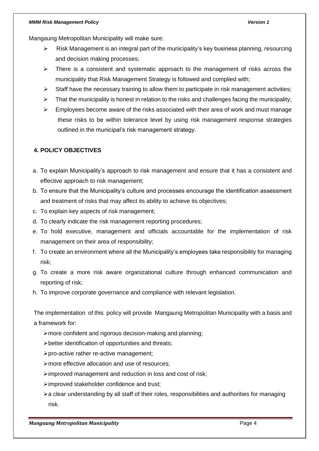#### *MMM Risk Management Policy Version 1*

Mangaung Metropolitan Municipality will make sure:

- ➢ Risk Management is an integral part of the municipality's key business planning, resourcing and decision making processes;
- $\triangleright$  There is a consistent and systematic approach to the management of risks across the municipality that Risk Management Strategy is followed and complied with;
- $\triangleright$  Staff have the necessary training to allow them to participate in risk management activities;
- $\triangleright$  That the municipality is honest in relation to the risks and challenges facing the municipality;
- ➢ Employees become aware of the risks associated with their area of work and must manage these risks to be within tolerance level by using risk management response strategies outlined in the municipal's risk management strategy.

# <span id="page-3-0"></span>**4. POLICY OBJECTIVES**

- a. To explain Municipality's approach to risk management and ensure that it has a consistent and effective approach to risk management;
- b. To ensure that the Municipality's culture and processes encourage the identification assessment and treatment of risks that may affect its ability to achieve its objectives;
- c. To explain key aspects of risk management;
- d. To clearly indicate the risk management reporting procedures;
- e. To hold executive, management and officials accountable for the implementation of risk management on their area of responsibility;
- f. To create an environment where all the Municipality's employees take responsibility for managing risk;
- g. To create a more risk aware organizational culture through enhanced communication and reporting of risk;
- h. To improve corporate governance and compliance with relevant legislation.

The implementation of this policy will provide Mangaung Metropolitan Municipality with a basis and a framework for:

- ➢more confident and rigorous decision-making and planning;
- ➢better identification of opportunities and threats;
- ➢pro-active rather re-active management;
- ➢more effective allocation and use of resources;
- ➢improved management and reduction in loss and cost of risk;
- ➢improved stakeholder confidence and trust;
- ➢a clear understanding by all staff of their roles, responsibilities and authorities for managing risk.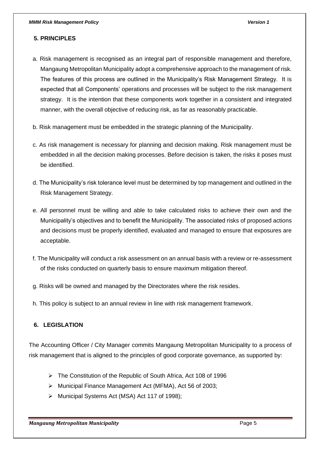# <span id="page-4-0"></span>**5. PRINCIPLES**

- a. Risk management is recognised as an integral part of responsible management and therefore, Mangaung Metropolitan Municipality adopt a comprehensive approach to the management of risk. The features of this process are outlined in the Municipality's Risk Management Strategy. It is expected that all Components' operations and processes will be subject to the risk management strategy. It is the intention that these components work together in a consistent and integrated manner, with the overall objective of reducing risk, as far as reasonably practicable.
- b. Risk management must be embedded in the strategic planning of the Municipality.
- c. As risk management is necessary for planning and decision making. Risk management must be embedded in all the decision making processes. Before decision is taken, the risks it poses must be identified.
- d. The Municipality's risk tolerance level must be determined by top management and outlined in the Risk Management Strategy.
- e. All personnel must be willing and able to take calculated risks to achieve their own and the Municipality's objectives and to benefit the Municipality. The associated risks of proposed actions and decisions must be properly identified, evaluated and managed to ensure that exposures are acceptable.
- f. The Municipality will conduct a risk assessment on an annual basis with a review or re-assessment of the risks conducted on quarterly basis to ensure maximum mitigation thereof.
- g. Risks will be owned and managed by the Directorates where the risk resides.
- h. This policy is subject to an annual review in line with risk management framework.

# <span id="page-4-1"></span>**6. LEGISLATION**

The Accounting Officer / City Manager commits Mangaung Metropolitan Municipality to a process of risk management that is aligned to the principles of good corporate governance, as supported by:

- ➢ The Constitution of the Republic of South Africa, Act 108 of 1996
- ➢ Municipal Finance Management Act (MFMA), Act 56 of 2003;
- ➢ Municipal Systems Act (MSA) Act 117 of 1998);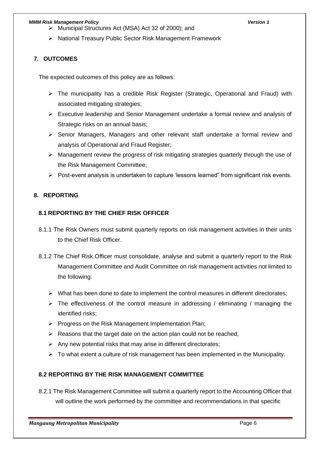#### *MMM Risk Management Policy Version 1*

- ➢ Municipal Structures Act (MSA) Act 32 of 2000); and
- ➢ National Treasury Public Sector Risk Management Framework

# <span id="page-5-0"></span>**7. OUTCOMES**

The expected outcomes of this policy are as follows:

- ➢ The municipality has a credible Risk Register (Strategic, Operational and Fraud) with associated mitigating strategies;
- ➢ Executive leadership and Senior Management undertake a formal review and analysis of Strategic risks on an annual basis;
- ➢ Senior Managers, Managers and other relevant staff undertake a formal review and analysis of Operational and Fraud Register;
- ➢ Management review the progress of risk mitigating strategies quarterly through the use of the Risk Management Committee;
- ➢ Post-event analysis is undertaken to capture 'lessons learned" from significant risk events.

# <span id="page-5-1"></span>**8. REPORTING**

# **8.1 REPORTING BY THE CHIEF RISK OFFICER**

- 8.1.1 The Risk Owners must submit quarterly reports on risk management activities in their units to the Chief Risk Officer.
- 8.1.2 The Chief Risk Officer must consolidate, analyse and submit a quarterly report to the Risk Management Committee and Audit Committee on risk management activities not limited to the following:
	- $\triangleright$  What has been done to date to implement the control measures in different directorates;
	- $\triangleright$  The effectiveness of the control measure in addressing / eliminating / managing the identified risks;
	- ➢ Progress on the Risk Management Implementation Plan;
	- $\triangleright$  Reasons that the target date on the action plan could not be reached;
	- $\triangleright$  Any new potential risks that may arise in different directorates;
	- $\triangleright$  To what extent a culture of risk management has been implemented in the Municipality.

# **8.2 REPORTING BY THE RISK MANAGEMENT COMMITTEE**

8.2.1 The Risk Management Committee will submit a quarterly report to the Accounting Officer that will outline the work performed by the committee and recommendations in that specific